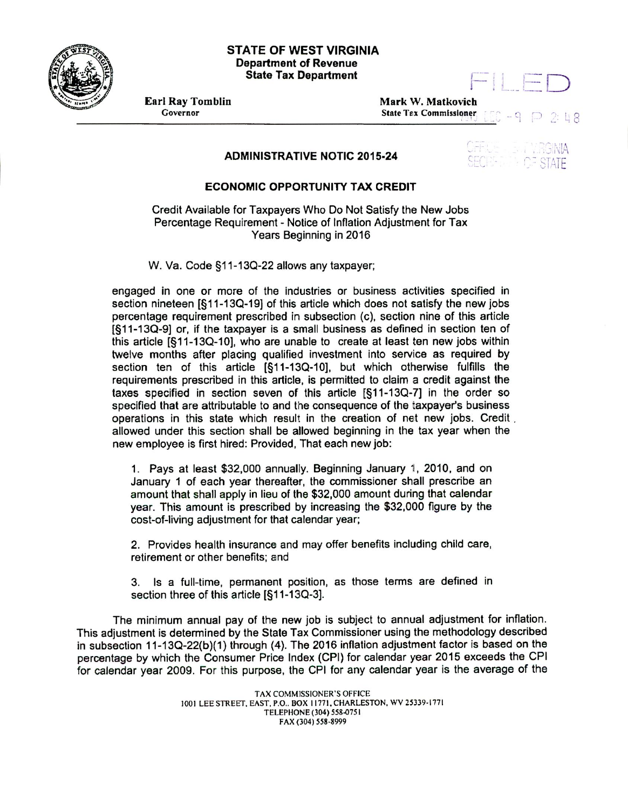

#### **STATE OF WEST VIRGINIA Department of Revenue State Tax Department**



**Earl Ray Tomblin Mark W. Matkovich** Governor **Governor** State Tax Commissioner L 8

# **ADMINISTRATIVE NOTIC 2015-24**

### **ECONOMIC OPPORTUNITY TAX CREDIT**

Credit Available for Taxpayers Who Do Not Satisfy the New Jobs Percentage Requirement - Notice of Inflation Adjustment for Tax Years Beginning in 2016

W. Va. Code §11-13Q-22 allows any taxpayer;

engaged in one or more of the industries or business activities specified in section nineteen [§11-13Q-19] of this article which does not satisfy the new jobs percentage requirement prescribed in subsection (c), section nine of this article [§11-1 3Q-9] or, if the taxpayer is a small business as defined in section ten of this article  $[611-13Q-10]$ , who are unable to create at least ten new jobs within twelve months after placing qualified investment into service as required by section ten of this article [§11-13Q-10], but which otherwise fulfills the requirements prescribed in this article, is permitted to claim a credit against the taxes specified in section seven of this article  $[811-13Q-7]$  in the order so specified that are attributable to and the consequence of the taxpayer's business operations in this state which result in the creation of net new jobs. Credit allowed under this section shall be allowed beginning in the tax year when the new employee is first hired: Provided, That each new job:

1. Pays at least \$32,000 annually. Beginning January 1, 2010, and on January 1 of each year thereafter, the commissioner shall prescribe an amount that shall apply in lieu of the \$32,000 amount during that calendar year. This amount is prescribed by increasing the \$32,000 figure by the cost-of-living adjustment for that calendar year;

2. Provides health insurance and may offer benefits including child care, retirement or other benefits; and

3. Is a full-time, permanent position, as those terms are defined in section three of this article [§11-13Q-3].

The minimum annual pay of the new job is subject to annual adjustment for inflation. This adjustment is determined by the State Tax Commissioner using the methodology described in subsection 11-13Q-22(b)(1) through (4). The 2016 inflation adjustment factor is based on the percentage by which the Consumer Price Index (CPI) for calendar year 2015 exceeds the CPI for calendar year 2009. For this purpose, the CPI for any calendar year is the average of the

> TAX COMMISSIONER'S OFFICE 1001 LEE STREET, EAST, P.O., BOX 11771, CHARLESTON, WV 25339.1771 TELEPHONE (304) 558.0751 FAX (304) 558-8999